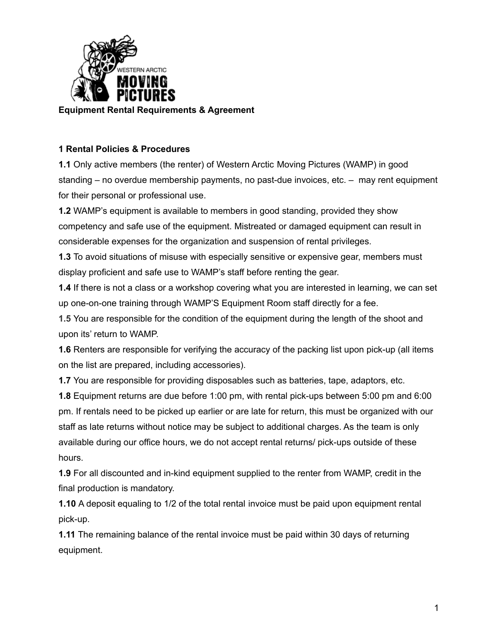

## **1 Rental Policies & Procedures**

**1.1** Only active members (the renter) of Western Arctic Moving Pictures (WAMP) in good standing – no overdue membership payments, no past-due invoices, etc. – may rent equipment for their personal or professional use.

**1.2** WAMP's equipment is available to members in good standing, provided they show competency and safe use of the equipment. Mistreated or damaged equipment can result in considerable expenses for the organization and suspension of rental privileges.

**1.3** To avoid situations of misuse with especially sensitive or expensive gear, members must display proficient and safe use to WAMP's staff before renting the gear.

**1.4** If there is not a class or a workshop covering what you are interested in learning, we can set up one-on-one training through WAMP'S Equipment Room staff directly for a fee.

**1.5** You are responsible for the condition of the equipment during the length of the shoot and upon its' return to WAMP.

**1.6** Renters are responsible for verifying the accuracy of the packing list upon pick-up (all items on the list are prepared, including accessories).

**1.7** You are responsible for providing disposables such as batteries, tape, adaptors, etc.

**1.8** Equipment returns are due before 1:00 pm, with rental pick-ups between 5:00 pm and 6:00 pm. If rentals need to be picked up earlier or are late for return, this must be organized with our staff as late returns without notice may be subject to additional charges. As the team is only available during our office hours, we do not accept rental returns/ pick-ups outside of these hours.

**1.9** For all discounted and in-kind equipment supplied to the renter from WAMP, credit in the final production is mandatory.

**1.10** A deposit equaling to 1/2 of the total rental invoice must be paid upon equipment rental pick-up.

**1.11** The remaining balance of the rental invoice must be paid within 30 days of returning equipment.